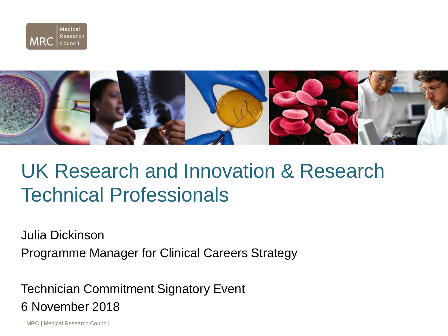



# UK Research and Innovation & Research Technical Professionals

Julia Dickinson Programme Manager for Clinical Careers Strategy

Technician Commitment Signatory Event 6 November 2018

MRC | Medical Research Council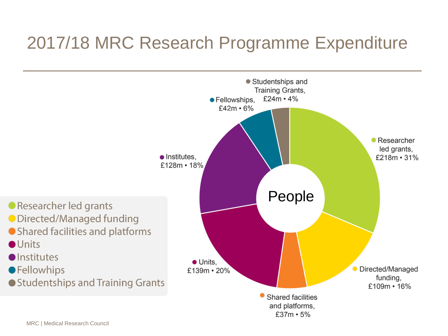### 2017/18 MRC Research Programme Expenditure

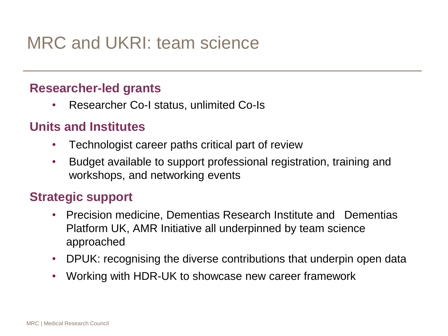#### MRC and UKRI: team science

#### **Researcher-led grants**

• Researcher Co-I status, unlimited Co-Is

#### **Units and Institutes**

- Technologist career paths critical part of review
- Budget available to support professional registration, training and workshops, and networking events

#### **Strategic support**

- Precision medicine, Dementias Research Institute and Dementias Platform UK, AMR Initiative all underpinned by team science approached
- DPUK: recognising the diverse contributions that underpin open data
- Working with HDR-UK to showcase new career framework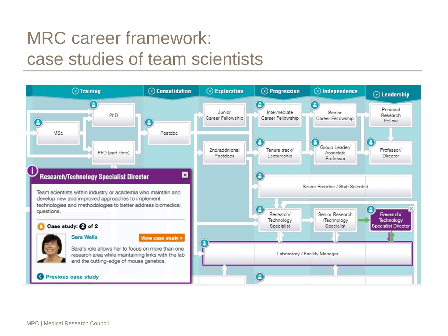## MRC career framework: case studies of team scientists

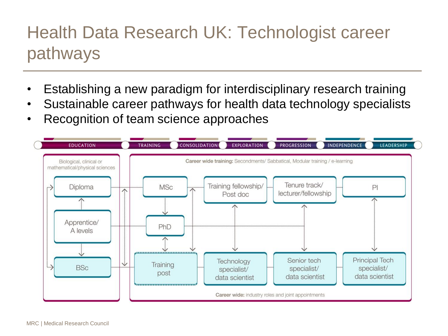## Health Data Research UK: Technologist career pathways

- Establishing a new paradigm for interdisciplinary research training
- Sustainable career pathways for health data technology specialists
- Recognition of team science approaches

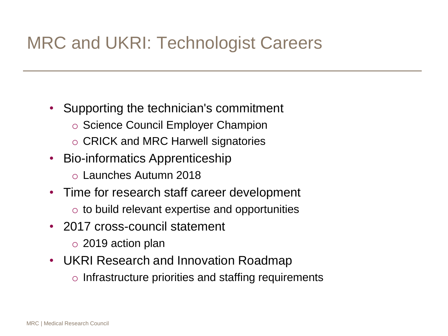### MRC and UKRI: Technologist Careers

- Supporting the technician's commitment
	- o Science Council Employer Champion
	- o CRICK and MRC Harwell signatories
- Bio-informatics Apprenticeship
	- o Launches Autumn 2018
- Time for research staff career development
	- $\circ$  to build relevant expertise and opportunities
- 2017 cross-council statement
	- o 2019 action plan
- UKRI Research and Innovation Roadmap
	- o Infrastructure priorities and staffing requirements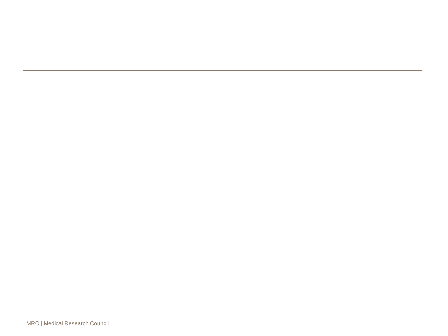MRC | Medical Research Council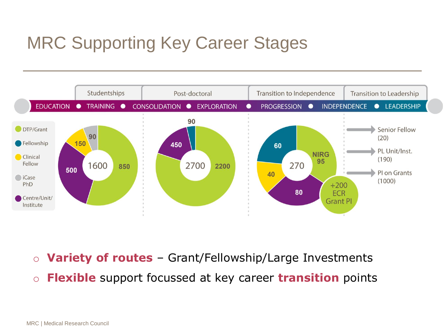## MRC Supporting Key Career Stages



- o **Variety of routes**  Grant/Fellowship/Large Investments
- o **Flexible** support focussed at key career **transition** points